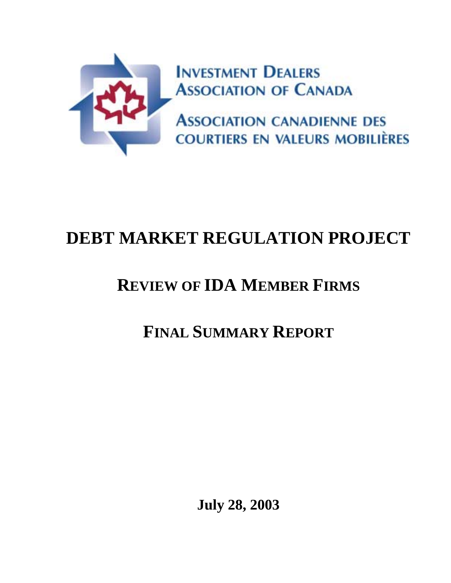

# **DEBT MARKET REGULATION PROJECT**

## **REVIEW OF IDA MEMBER FIRMS**

## **FINAL SUMMARY REPORT**

**July 28, 2003**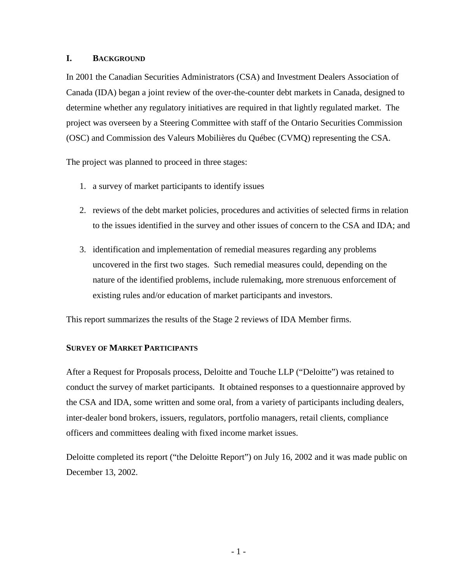### **I. BACKGROUND**

In 2001 the Canadian Securities Administrators (CSA) and Investment Dealers Association of Canada (IDA) began a joint review of the over-the-counter debt markets in Canada, designed to determine whether any regulatory initiatives are required in that lightly regulated market. The project was overseen by a Steering Committee with staff of the Ontario Securities Commission (OSC) and Commission des Valeurs Mobilières du Québec (CVMQ) representing the CSA.

The project was planned to proceed in three stages:

- 1. a survey of market participants to identify issues
- 2. reviews of the debt market policies, procedures and activities of selected firms in relation to the issues identified in the survey and other issues of concern to the CSA and IDA; and
- 3. identification and implementation of remedial measures regarding any problems uncovered in the first two stages. Such remedial measures could, depending on the nature of the identified problems, include rulemaking, more strenuous enforcement of existing rules and/or education of market participants and investors.

This report summarizes the results of the Stage 2 reviews of IDA Member firms.

## **SURVEY OF MARKET PARTICIPANTS**

After a Request for Proposals process, Deloitte and Touche LLP ("Deloitte") was retained to conduct the survey of market participants. It obtained responses to a questionnaire approved by the CSA and IDA, some written and some oral, from a variety of participants including dealers, inter-dealer bond brokers, issuers, regulators, portfolio managers, retail clients, compliance officers and committees dealing with fixed income market issues.

Deloitte completed its report ("the Deloitte Report") on July 16, 2002 and it was made public on December 13, 2002.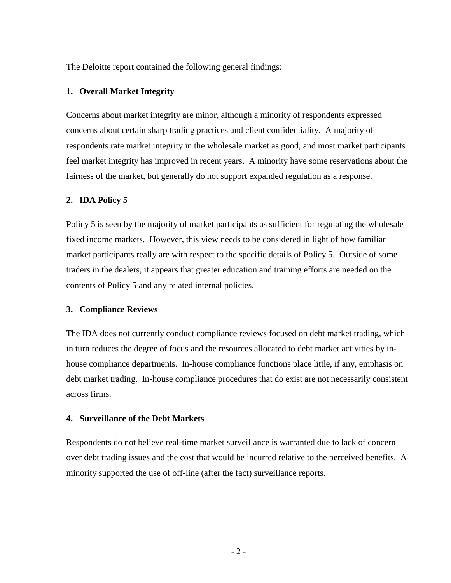The Deloitte report contained the following general findings:

#### **1. Overall Market Integrity**

Concerns about market integrity are minor, although a minority of respondents expressed concerns about certain sharp trading practices and client confidentiality. A majority of respondents rate market integrity in the wholesale market as good, and most market participants feel market integrity has improved in recent years. A minority have some reservations about the fairness of the market, but generally do not support expanded regulation as a response.

#### **2. IDA Policy 5**

Policy 5 is seen by the majority of market participants as sufficient for regulating the wholesale fixed income markets. However, this view needs to be considered in light of how familiar market participants really are with respect to the specific details of Policy 5. Outside of some traders in the dealers, it appears that greater education and training efforts are needed on the contents of Policy 5 and any related internal policies.

#### **3. Compliance Reviews**

The IDA does not currently conduct compliance reviews focused on debt market trading, which in turn reduces the degree of focus and the resources allocated to debt market activities by inhouse compliance departments. In-house compliance functions place little, if any, emphasis on debt market trading. In-house compliance procedures that do exist are not necessarily consistent across firms.

#### **4. Surveillance of the Debt Markets**

Respondents do not believe real-time market surveillance is warranted due to lack of concern over debt trading issues and the cost that would be incurred relative to the perceived benefits. A minority supported the use of off-line (after the fact) surveillance reports.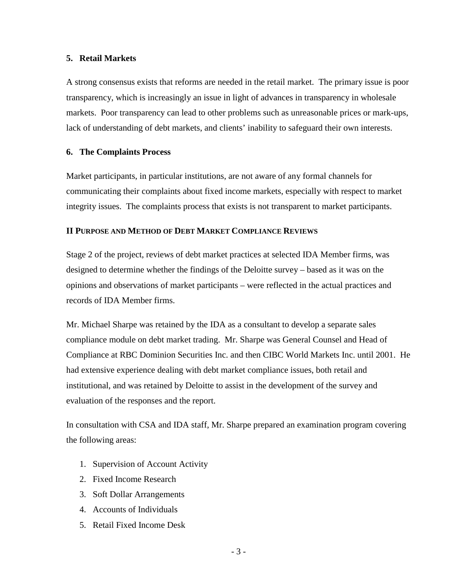#### **5. Retail Markets**

A strong consensus exists that reforms are needed in the retail market. The primary issue is poor transparency, which is increasingly an issue in light of advances in transparency in wholesale markets. Poor transparency can lead to other problems such as unreasonable prices or mark-ups, lack of understanding of debt markets, and clients' inability to safeguard their own interests.

### **6. The Complaints Process**

Market participants, in particular institutions, are not aware of any formal channels for communicating their complaints about fixed income markets, especially with respect to market integrity issues. The complaints process that exists is not transparent to market participants.

## **II PURPOSE AND METHOD OF DEBT MARKET COMPLIANCE REVIEWS**

Stage 2 of the project, reviews of debt market practices at selected IDA Member firms, was designed to determine whether the findings of the Deloitte survey – based as it was on the opinions and observations of market participants – were reflected in the actual practices and records of IDA Member firms.

Mr. Michael Sharpe was retained by the IDA as a consultant to develop a separate sales compliance module on debt market trading. Mr. Sharpe was General Counsel and Head of Compliance at RBC Dominion Securities Inc. and then CIBC World Markets Inc. until 2001. He had extensive experience dealing with debt market compliance issues, both retail and institutional, and was retained by Deloitte to assist in the development of the survey and evaluation of the responses and the report.

In consultation with CSA and IDA staff, Mr. Sharpe prepared an examination program covering the following areas:

- 1. Supervision of Account Activity
- 2. Fixed Income Research
- 3. Soft Dollar Arrangements
- 4. Accounts of Individuals
- 5. Retail Fixed Income Desk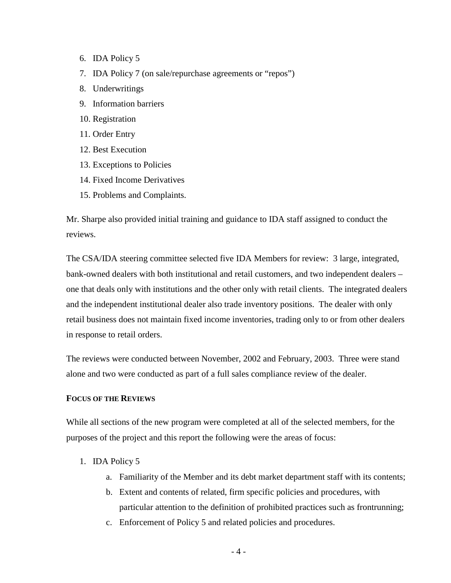- 6. IDA Policy 5
- 7. IDA Policy 7 (on sale/repurchase agreements or "repos")
- 8. Underwritings
- 9. Information barriers
- 10. Registration
- 11. Order Entry
- 12. Best Execution
- 13. Exceptions to Policies
- 14. Fixed Income Derivatives
- 15. Problems and Complaints.

Mr. Sharpe also provided initial training and guidance to IDA staff assigned to conduct the reviews.

The CSA/IDA steering committee selected five IDA Members for review: 3 large, integrated, bank-owned dealers with both institutional and retail customers, and two independent dealers – one that deals only with institutions and the other only with retail clients. The integrated dealers and the independent institutional dealer also trade inventory positions. The dealer with only retail business does not maintain fixed income inventories, trading only to or from other dealers in response to retail orders.

The reviews were conducted between November, 2002 and February, 2003. Three were stand alone and two were conducted as part of a full sales compliance review of the dealer.

#### **FOCUS OF THE REVIEWS**

While all sections of the new program were completed at all of the selected members, for the purposes of the project and this report the following were the areas of focus:

- 1. IDA Policy 5
	- a. Familiarity of the Member and its debt market department staff with its contents;
	- b. Extent and contents of related, firm specific policies and procedures, with particular attention to the definition of prohibited practices such as frontrunning;
	- c. Enforcement of Policy 5 and related policies and procedures.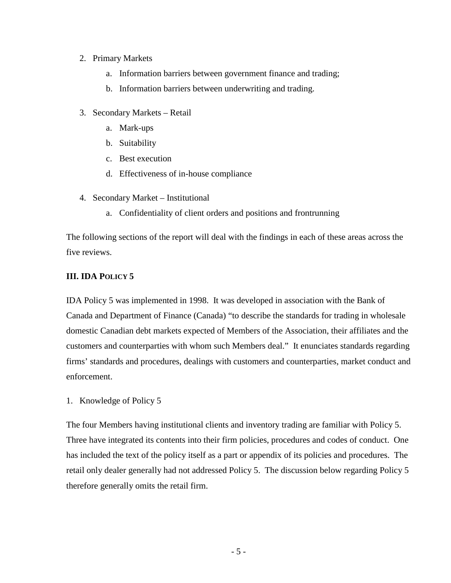## 2. Primary Markets

- a. Information barriers between government finance and trading;
- b. Information barriers between underwriting and trading.
- 3. Secondary Markets Retail
	- a. Mark-ups
	- b. Suitability
	- c. Best execution
	- d. Effectiveness of in-house compliance
- 4. Secondary Market Institutional
	- a. Confidentiality of client orders and positions and frontrunning

The following sections of the report will deal with the findings in each of these areas across the five reviews.

## **III. IDA POLICY 5**

IDA Policy 5 was implemented in 1998. It was developed in association with the Bank of Canada and Department of Finance (Canada) "to describe the standards for trading in wholesale domestic Canadian debt markets expected of Members of the Association, their affiliates and the customers and counterparties with whom such Members deal." It enunciates standards regarding firms' standards and procedures, dealings with customers and counterparties, market conduct and enforcement.

1. Knowledge of Policy 5

The four Members having institutional clients and inventory trading are familiar with Policy 5. Three have integrated its contents into their firm policies, procedures and codes of conduct. One has included the text of the policy itself as a part or appendix of its policies and procedures. The retail only dealer generally had not addressed Policy 5. The discussion below regarding Policy 5 therefore generally omits the retail firm.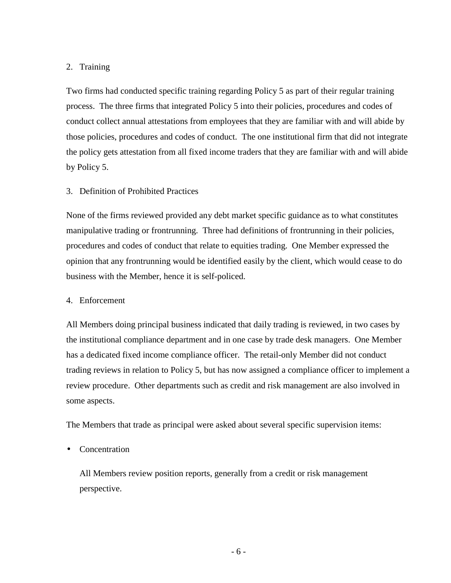## 2. Training

Two firms had conducted specific training regarding Policy 5 as part of their regular training process. The three firms that integrated Policy 5 into their policies, procedures and codes of conduct collect annual attestations from employees that they are familiar with and will abide by those policies, procedures and codes of conduct. The one institutional firm that did not integrate the policy gets attestation from all fixed income traders that they are familiar with and will abide by Policy 5.

## 3. Definition of Prohibited Practices

None of the firms reviewed provided any debt market specific guidance as to what constitutes manipulative trading or frontrunning. Three had definitions of frontrunning in their policies, procedures and codes of conduct that relate to equities trading. One Member expressed the opinion that any frontrunning would be identified easily by the client, which would cease to do business with the Member, hence it is self-policed.

### 4. Enforcement

All Members doing principal business indicated that daily trading is reviewed, in two cases by the institutional compliance department and in one case by trade desk managers. One Member has a dedicated fixed income compliance officer. The retail-only Member did not conduct trading reviews in relation to Policy 5, but has now assigned a compliance officer to implement a review procedure. Other departments such as credit and risk management are also involved in some aspects.

The Members that trade as principal were asked about several specific supervision items:

**Concentration** 

All Members review position reports, generally from a credit or risk management perspective.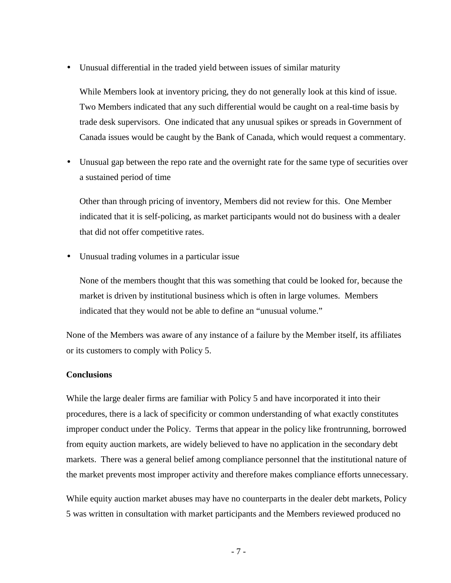• Unusual differential in the traded yield between issues of similar maturity

While Members look at inventory pricing, they do not generally look at this kind of issue. Two Members indicated that any such differential would be caught on a real-time basis by trade desk supervisors. One indicated that any unusual spikes or spreads in Government of Canada issues would be caught by the Bank of Canada, which would request a commentary.

• Unusual gap between the repo rate and the overnight rate for the same type of securities over a sustained period of time

Other than through pricing of inventory, Members did not review for this. One Member indicated that it is self-policing, as market participants would not do business with a dealer that did not offer competitive rates.

• Unusual trading volumes in a particular issue

None of the members thought that this was something that could be looked for, because the market is driven by institutional business which is often in large volumes. Members indicated that they would not be able to define an "unusual volume."

None of the Members was aware of any instance of a failure by the Member itself, its affiliates or its customers to comply with Policy 5.

### **Conclusions**

While the large dealer firms are familiar with Policy 5 and have incorporated it into their procedures, there is a lack of specificity or common understanding of what exactly constitutes improper conduct under the Policy. Terms that appear in the policy like frontrunning, borrowed from equity auction markets, are widely believed to have no application in the secondary debt markets. There was a general belief among compliance personnel that the institutional nature of the market prevents most improper activity and therefore makes compliance efforts unnecessary.

While equity auction market abuses may have no counterparts in the dealer debt markets, Policy 5 was written in consultation with market participants and the Members reviewed produced no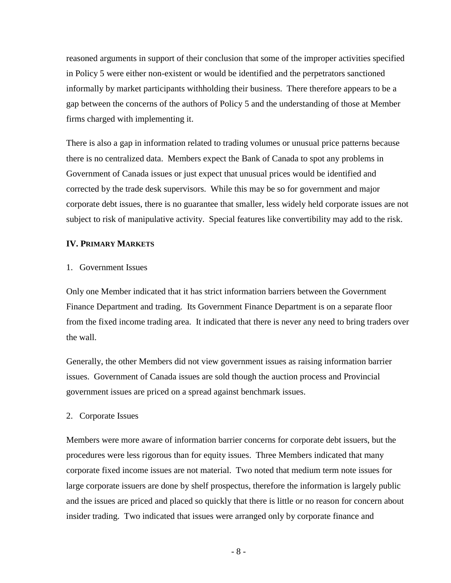reasoned arguments in support of their conclusion that some of the improper activities specified in Policy 5 were either non-existent or would be identified and the perpetrators sanctioned informally by market participants withholding their business. There therefore appears to be a gap between the concerns of the authors of Policy 5 and the understanding of those at Member firms charged with implementing it.

There is also a gap in information related to trading volumes or unusual price patterns because there is no centralized data. Members expect the Bank of Canada to spot any problems in Government of Canada issues or just expect that unusual prices would be identified and corrected by the trade desk supervisors. While this may be so for government and major corporate debt issues, there is no guarantee that smaller, less widely held corporate issues are not subject to risk of manipulative activity. Special features like convertibility may add to the risk.

#### **IV. PRIMARY MARKETS**

#### 1. Government Issues

Only one Member indicated that it has strict information barriers between the Government Finance Department and trading. Its Government Finance Department is on a separate floor from the fixed income trading area. It indicated that there is never any need to bring traders over the wall.

Generally, the other Members did not view government issues as raising information barrier issues. Government of Canada issues are sold though the auction process and Provincial government issues are priced on a spread against benchmark issues.

#### 2. Corporate Issues

Members were more aware of information barrier concerns for corporate debt issuers, but the procedures were less rigorous than for equity issues. Three Members indicated that many corporate fixed income issues are not material. Two noted that medium term note issues for large corporate issuers are done by shelf prospectus, therefore the information is largely public and the issues are priced and placed so quickly that there is little or no reason for concern about insider trading. Two indicated that issues were arranged only by corporate finance and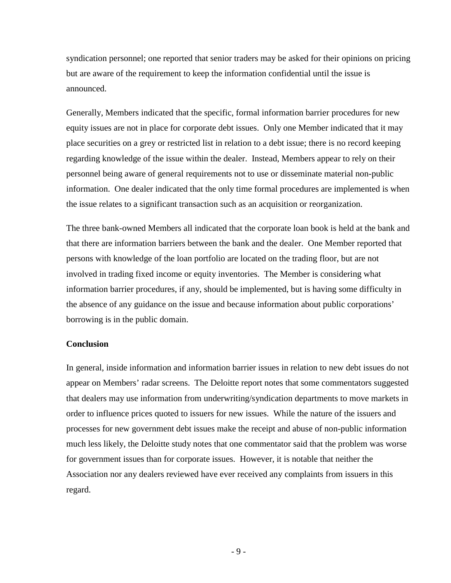syndication personnel; one reported that senior traders may be asked for their opinions on pricing but are aware of the requirement to keep the information confidential until the issue is announced.

Generally, Members indicated that the specific, formal information barrier procedures for new equity issues are not in place for corporate debt issues. Only one Member indicated that it may place securities on a grey or restricted list in relation to a debt issue; there is no record keeping regarding knowledge of the issue within the dealer. Instead, Members appear to rely on their personnel being aware of general requirements not to use or disseminate material non-public information. One dealer indicated that the only time formal procedures are implemented is when the issue relates to a significant transaction such as an acquisition or reorganization.

The three bank-owned Members all indicated that the corporate loan book is held at the bank and that there are information barriers between the bank and the dealer. One Member reported that persons with knowledge of the loan portfolio are located on the trading floor, but are not involved in trading fixed income or equity inventories. The Member is considering what information barrier procedures, if any, should be implemented, but is having some difficulty in the absence of any guidance on the issue and because information about public corporations' borrowing is in the public domain.

#### **Conclusion**

In general, inside information and information barrier issues in relation to new debt issues do not appear on Members' radar screens. The Deloitte report notes that some commentators suggested that dealers may use information from underwriting/syndication departments to move markets in order to influence prices quoted to issuers for new issues. While the nature of the issuers and processes for new government debt issues make the receipt and abuse of non-public information much less likely, the Deloitte study notes that one commentator said that the problem was worse for government issues than for corporate issues. However, it is notable that neither the Association nor any dealers reviewed have ever received any complaints from issuers in this regard.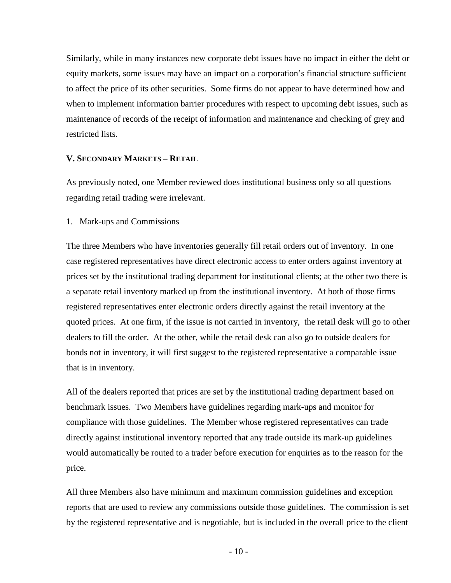Similarly, while in many instances new corporate debt issues have no impact in either the debt or equity markets, some issues may have an impact on a corporation's financial structure sufficient to affect the price of its other securities. Some firms do not appear to have determined how and when to implement information barrier procedures with respect to upcoming debt issues, such as maintenance of records of the receipt of information and maintenance and checking of grey and restricted lists.

#### **V. SECONDARY MARKETS – RETAIL**

As previously noted, one Member reviewed does institutional business only so all questions regarding retail trading were irrelevant.

1. Mark-ups and Commissions

The three Members who have inventories generally fill retail orders out of inventory. In one case registered representatives have direct electronic access to enter orders against inventory at prices set by the institutional trading department for institutional clients; at the other two there is a separate retail inventory marked up from the institutional inventory. At both of those firms registered representatives enter electronic orders directly against the retail inventory at the quoted prices. At one firm, if the issue is not carried in inventory, the retail desk will go to other dealers to fill the order. At the other, while the retail desk can also go to outside dealers for bonds not in inventory, it will first suggest to the registered representative a comparable issue that is in inventory.

All of the dealers reported that prices are set by the institutional trading department based on benchmark issues. Two Members have guidelines regarding mark-ups and monitor for compliance with those guidelines. The Member whose registered representatives can trade directly against institutional inventory reported that any trade outside its mark-up guidelines would automatically be routed to a trader before execution for enquiries as to the reason for the price.

All three Members also have minimum and maximum commission guidelines and exception reports that are used to review any commissions outside those guidelines. The commission is set by the registered representative and is negotiable, but is included in the overall price to the client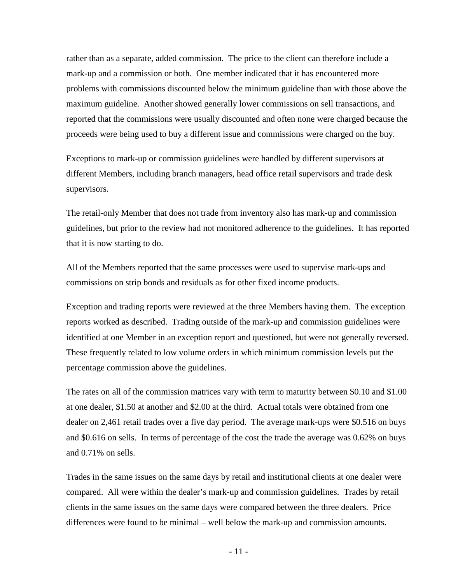rather than as a separate, added commission. The price to the client can therefore include a mark-up and a commission or both. One member indicated that it has encountered more problems with commissions discounted below the minimum guideline than with those above the maximum guideline. Another showed generally lower commissions on sell transactions, and reported that the commissions were usually discounted and often none were charged because the proceeds were being used to buy a different issue and commissions were charged on the buy.

Exceptions to mark-up or commission guidelines were handled by different supervisors at different Members, including branch managers, head office retail supervisors and trade desk supervisors.

The retail-only Member that does not trade from inventory also has mark-up and commission guidelines, but prior to the review had not monitored adherence to the guidelines. It has reported that it is now starting to do.

All of the Members reported that the same processes were used to supervise mark-ups and commissions on strip bonds and residuals as for other fixed income products.

Exception and trading reports were reviewed at the three Members having them. The exception reports worked as described. Trading outside of the mark-up and commission guidelines were identified at one Member in an exception report and questioned, but were not generally reversed. These frequently related to low volume orders in which minimum commission levels put the percentage commission above the guidelines.

The rates on all of the commission matrices vary with term to maturity between \$0.10 and \$1.00 at one dealer, \$1.50 at another and \$2.00 at the third. Actual totals were obtained from one dealer on 2,461 retail trades over a five day period. The average mark-ups were \$0.516 on buys and \$0.616 on sells. In terms of percentage of the cost the trade the average was 0.62% on buys and 0.71% on sells.

Trades in the same issues on the same days by retail and institutional clients at one dealer were compared. All were within the dealer's mark-up and commission guidelines. Trades by retail clients in the same issues on the same days were compared between the three dealers. Price differences were found to be minimal – well below the mark-up and commission amounts.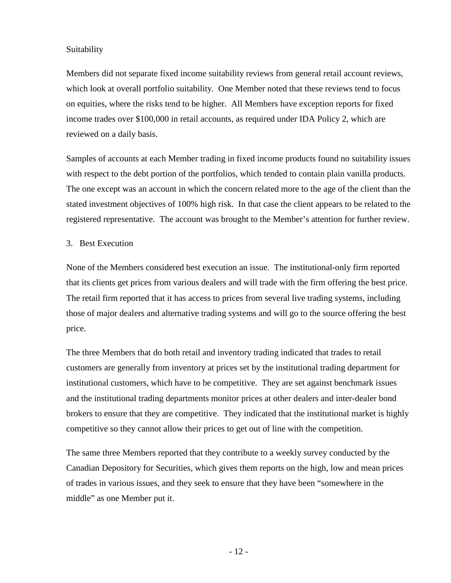## Suitability

Members did not separate fixed income suitability reviews from general retail account reviews, which look at overall portfolio suitability. One Member noted that these reviews tend to focus on equities, where the risks tend to be higher. All Members have exception reports for fixed income trades over \$100,000 in retail accounts, as required under IDA Policy 2, which are reviewed on a daily basis.

Samples of accounts at each Member trading in fixed income products found no suitability issues with respect to the debt portion of the portfolios, which tended to contain plain vanilla products. The one except was an account in which the concern related more to the age of the client than the stated investment objectives of 100% high risk. In that case the client appears to be related to the registered representative. The account was brought to the Member's attention for further review.

## 3. Best Execution

None of the Members considered best execution an issue. The institutional-only firm reported that its clients get prices from various dealers and will trade with the firm offering the best price. The retail firm reported that it has access to prices from several live trading systems, including those of major dealers and alternative trading systems and will go to the source offering the best price.

The three Members that do both retail and inventory trading indicated that trades to retail customers are generally from inventory at prices set by the institutional trading department for institutional customers, which have to be competitive. They are set against benchmark issues and the institutional trading departments monitor prices at other dealers and inter-dealer bond brokers to ensure that they are competitive. They indicated that the institutional market is highly competitive so they cannot allow their prices to get out of line with the competition.

The same three Members reported that they contribute to a weekly survey conducted by the Canadian Depository for Securities, which gives them reports on the high, low and mean prices of trades in various issues, and they seek to ensure that they have been "somewhere in the middle" as one Member put it.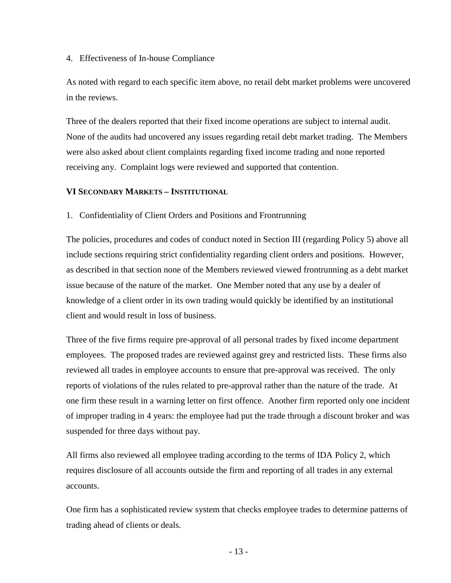### 4. Effectiveness of In-house Compliance

As noted with regard to each specific item above, no retail debt market problems were uncovered in the reviews.

Three of the dealers reported that their fixed income operations are subject to internal audit. None of the audits had uncovered any issues regarding retail debt market trading. The Members were also asked about client complaints regarding fixed income trading and none reported receiving any. Complaint logs were reviewed and supported that contention.

## **VI SECONDARY MARKETS – INSTITUTIONAL**

1. Confidentiality of Client Orders and Positions and Frontrunning

The policies, procedures and codes of conduct noted in Section III (regarding Policy 5) above all include sections requiring strict confidentiality regarding client orders and positions. However, as described in that section none of the Members reviewed viewed frontrunning as a debt market issue because of the nature of the market. One Member noted that any use by a dealer of knowledge of a client order in its own trading would quickly be identified by an institutional client and would result in loss of business.

Three of the five firms require pre-approval of all personal trades by fixed income department employees. The proposed trades are reviewed against grey and restricted lists. These firms also reviewed all trades in employee accounts to ensure that pre-approval was received. The only reports of violations of the rules related to pre-approval rather than the nature of the trade. At one firm these result in a warning letter on first offence. Another firm reported only one incident of improper trading in 4 years: the employee had put the trade through a discount broker and was suspended for three days without pay.

All firms also reviewed all employee trading according to the terms of IDA Policy 2, which requires disclosure of all accounts outside the firm and reporting of all trades in any external accounts.

One firm has a sophisticated review system that checks employee trades to determine patterns of trading ahead of clients or deals.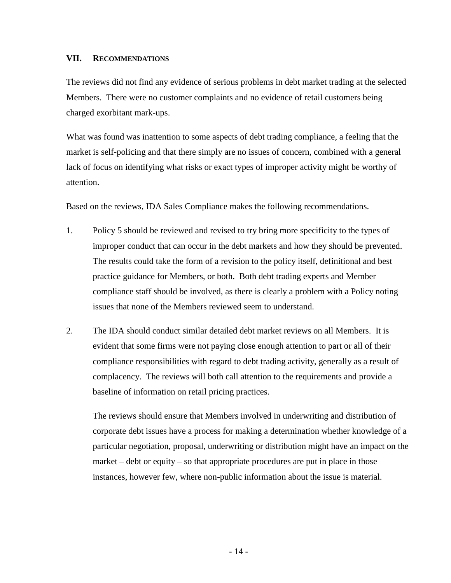## **VII. RECOMMENDATIONS**

The reviews did not find any evidence of serious problems in debt market trading at the selected Members. There were no customer complaints and no evidence of retail customers being charged exorbitant mark-ups.

What was found was inattention to some aspects of debt trading compliance, a feeling that the market is self-policing and that there simply are no issues of concern, combined with a general lack of focus on identifying what risks or exact types of improper activity might be worthy of attention.

Based on the reviews, IDA Sales Compliance makes the following recommendations.

- 1. Policy 5 should be reviewed and revised to try bring more specificity to the types of improper conduct that can occur in the debt markets and how they should be prevented. The results could take the form of a revision to the policy itself, definitional and best practice guidance for Members, or both. Both debt trading experts and Member compliance staff should be involved, as there is clearly a problem with a Policy noting issues that none of the Members reviewed seem to understand.
- 2. The IDA should conduct similar detailed debt market reviews on all Members. It is evident that some firms were not paying close enough attention to part or all of their compliance responsibilities with regard to debt trading activity, generally as a result of complacency. The reviews will both call attention to the requirements and provide a baseline of information on retail pricing practices.

The reviews should ensure that Members involved in underwriting and distribution of corporate debt issues have a process for making a determination whether knowledge of a particular negotiation, proposal, underwriting or distribution might have an impact on the market – debt or equity – so that appropriate procedures are put in place in those instances, however few, where non-public information about the issue is material.